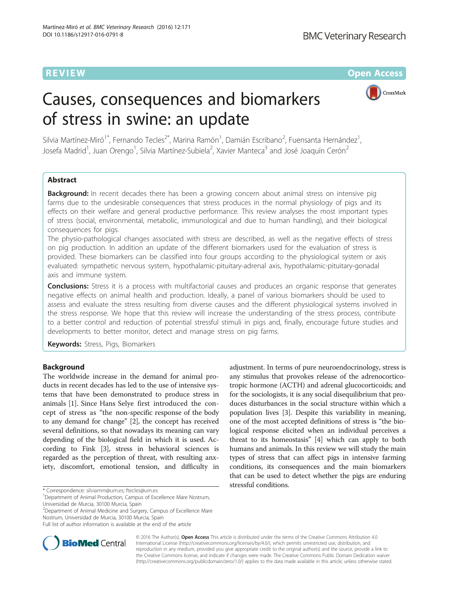**REVIEW REVIEW CONSTRUCTION** 

# Causes, consequences and biomarkers of stress in swine: an update



Silvia Martínez-Miró<sup>1\*</sup>, Fernando Tecles<sup>2\*</sup>, Marina Ramón<sup>1</sup>, Damián Escribano<sup>2</sup>, Fuensanta Hernández<sup>1</sup> , Josefa Madrid<sup>1</sup>, Juan Orengo<sup>1</sup>, Silvia Martínez-Subiela<sup>2</sup>, Xavier Manteca<sup>3</sup> and José Joaquín Cerón<sup>2</sup>

## Abstract

**Background:** In recent decades there has been a growing concern about animal stress on intensive pig farms due to the undesirable consequences that stress produces in the normal physiology of pigs and its effects on their welfare and general productive performance. This review analyses the most important types of stress (social, environmental, metabolic, immunological and due to human handling), and their biological consequences for pigs.

The physio-pathological changes associated with stress are described, as well as the negative effects of stress on pig production. In addition an update of the different biomarkers used for the evaluation of stress is provided. These biomarkers can be classified into four groups according to the physiological system or axis evaluated: sympathetic nervous system, hypothalamic-pituitary-adrenal axis, hypothalamic-pituitary-gonadal axis and immune system.

**Conclusions:** Stress it is a process with multifactorial causes and produces an organic response that generates negative effects on animal health and production. Ideally, a panel of various biomarkers should be used to assess and evaluate the stress resulting from diverse causes and the different physiological systems involved in the stress response. We hope that this review will increase the understanding of the stress process, contribute to a better control and reduction of potential stressful stimuli in pigs and, finally, encourage future studies and developments to better monitor, detect and manage stress on pig farms.

Keywords: Stress, Pigs, Biomarkers

## Background

The worldwide increase in the demand for animal products in recent decades has led to the use of intensive systems that have been demonstrated to produce stress in animals [[1\]](#page-5-0). Since Hans Selye first introduced the concept of stress as "the non-specific response of the body to any demand for change" [\[2](#page-5-0)], the concept has received several definitions, so that nowadays its meaning can vary depending of the biological field in which it is used. According to Fink [[3](#page-5-0)], stress in behavioral sciences is regarded as the perception of threat, with resulting anxiety, discomfort, emotional tension, and difficulty in

\* Correspondence: [silviamm@um.es;](mailto:silviamm@um.es) [ftecles@um.es](mailto:ftecles@um.es) <sup>1</sup>

<sup>2</sup>Department of Animal Medicine and Surgery, Campus of Excellence Mare Nostrum, Universidad de Murcia, 30100 Murcia, Spain

Full list of author information is available at the end of the article



© 2016 The Author(s). Open Access This article is distributed under the terms of the Creative Commons Attribution 4.0 International License [\(http://creativecommons.org/licenses/by/4.0/](http://creativecommons.org/licenses/by/4.0/)), which permits unrestricted use, distribution, and reproduction in any medium, provided you give appropriate credit to the original author(s) and the source, provide a link to the Creative Commons license, and indicate if changes were made. The Creative Commons Public Domain Dedication waiver [\(http://creativecommons.org/publicdomain/zero/1.0/](http://creativecommons.org/publicdomain/zero/1.0/)) applies to the data made available in this article, unless otherwise stated.

adjustment. In terms of pure neuroendocrinology, stress is any stimulus that provokes release of the adrenocorticotropic hormone (ACTH) and adrenal glucocorticoids; and for the sociologists, it is any social disequilibrium that produces disturbances in the social structure within which a population lives [[3](#page-5-0)]. Despite this variability in meaning, one of the most accepted definitions of stress is "the biological response elicited when an individual perceives a threat to its homeostasis" [\[4](#page-5-0)] which can apply to both humans and animals. In this review we will study the main types of stress that can affect pigs in intensive farming conditions, its consequences and the main biomarkers that can be used to detect whether the pigs are enduring stressful conditions.

<sup>&</sup>lt;sup>1</sup>Department of Animal Production, Campus of Excellence Mare Nostrum, Universidad de Murcia, 30100 Murcia, Spain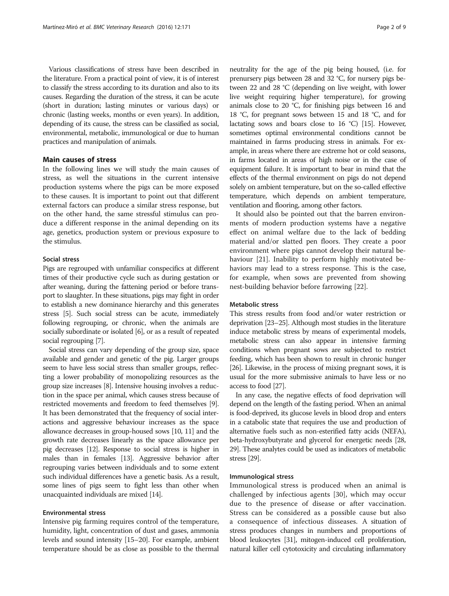Various classifications of stress have been described in the literature. From a practical point of view, it is of interest to classify the stress according to its duration and also to its causes. Regarding the duration of the stress, it can be acute (short in duration; lasting minutes or various days) or chronic (lasting weeks, months or even years). In addition, depending of its cause, the stress can be classified as social, environmental, metabolic, immunological or due to human practices and manipulation of animals.

## Main causes of stress

In the following lines we will study the main causes of stress, as well the situations in the current intensive production systems where the pigs can be more exposed to these causes. It is important to point out that different external factors can produce a similar stress response, but on the other hand, the same stressful stimulus can produce a different response in the animal depending on its age, genetics, production system or previous exposure to the stimulus.

#### Social stress

Pigs are regrouped with unfamiliar conspecifics at different times of their productive cycle such as during gestation or after weaning, during the fattening period or before transport to slaughter. In these situations, pigs may fight in order to establish a new dominance hierarchy and this generates stress [[5](#page-5-0)]. Such social stress can be acute, immediately following regrouping, or chronic, when the animals are socially subordinate or isolated [\[6\]](#page-5-0), or as a result of repeated social regrouping [[7](#page-5-0)].

Social stress can vary depending of the group size, space available and gender and genetic of the pig. Larger groups seem to have less social stress than smaller groups, reflecting a lower probability of monopolizing resources as the group size increases [\[8](#page-5-0)]. Intensive housing involves a reduction in the space per animal, which causes stress because of restricted movements and freedom to feed themselves [[9](#page-5-0)]. It has been demonstrated that the frequency of social interactions and aggressive behaviour increases as the space allowance decreases in group-housed sows [[10](#page-6-0), [11\]](#page-6-0) and the growth rate decreases linearly as the space allowance per pig decreases [[12](#page-6-0)]. Response to social stress is higher in males than in females [\[13\]](#page-6-0). Aggressive behavior after regrouping varies between individuals and to some extent such individual differences have a genetic basis. As a result, some lines of pigs seem to fight less than other when unacquainted individuals are mixed [\[14\]](#page-6-0).

## Environmental stress

Intensive pig farming requires control of the temperature, humidity, light, concentration of dust and gases, ammonia levels and sound intensity [\[15](#page-6-0)–[20](#page-6-0)]. For example, ambient temperature should be as close as possible to the thermal

neutrality for the age of the pig being housed, (i.e. for prenursery pigs between 28 and 32 °C, for nursery pigs between 22 and 28 °C (depending on live weight, with lower live weight requiring higher temperature), for growing animals close to 20 °C, for finishing pigs between 16 and 18 °C, for pregnant sows between 15 and 18 °C, and for lactating sows and boars close to 16 °C) [\[15](#page-6-0)]. However, sometimes optimal environmental conditions cannot be maintained in farms producing stress in animals. For example, in areas where there are extreme hot or cold seasons, in farms located in areas of high noise or in the case of equipment failure. It is important to bear in mind that the effects of the thermal environment on pigs do not depend solely on ambient temperature, but on the so-called effective temperature, which depends on ambient temperature, ventilation and flooring, among other factors.

It should also be pointed out that the barren environments of modern production systems have a negative effect on animal welfare due to the lack of bedding material and/or slatted pen floors. They create a poor environment where pigs cannot develop their natural be-haviour [\[21\]](#page-6-0). Inability to perform highly motivated behaviors may lead to a stress response. This is the case, for example, when sows are prevented from showing nest-building behavior before farrowing [\[22\]](#page-6-0).

#### Metabolic stress

This stress results from food and/or water restriction or deprivation [\[23](#page-6-0)–[25](#page-6-0)]. Although most studies in the literature induce metabolic stress by means of experimental models, metabolic stress can also appear in intensive farming conditions when pregnant sows are subjected to restrict feeding, which has been shown to result in chronic hunger [[26](#page-6-0)]. Likewise, in the process of mixing pregnant sows, it is usual for the more submissive animals to have less or no access to food [\[27\]](#page-6-0).

In any case, the negative effects of food deprivation will depend on the length of the fasting period. When an animal is food-deprived, its glucose levels in blood drop and enters in a catabolic state that requires the use and production of alternative fuels such as non-esterified fatty acids (NEFA), beta-hydroxybutyrate and glycerol for energetic needs [\[28](#page-6-0), [29](#page-6-0)]. These analytes could be used as indicators of metabolic stress [[29](#page-6-0)].

## Immunological stress

Immunological stress is produced when an animal is challenged by infectious agents [\[30](#page-6-0)], which may occur due to the presence of disease or after vaccination. Stress can be considered as a possible cause but also a consequence of infectious disseases. A situation of stress produces changes in numbers and proportions of blood leukocytes [[31](#page-6-0)], mitogen-induced cell proliferation, natural killer cell cytotoxicity and circulating inflammatory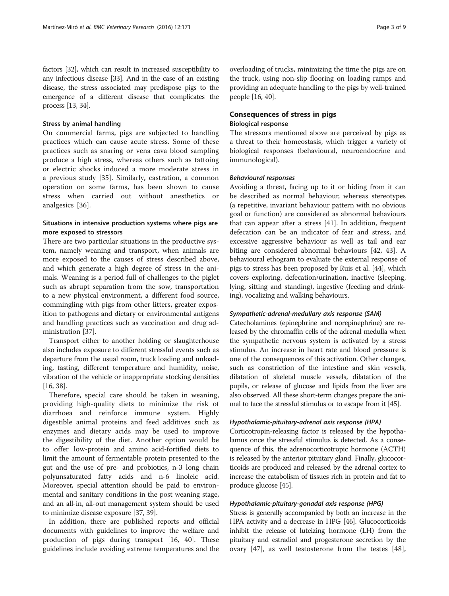factors [\[32\]](#page-6-0), which can result in increased susceptibility to any infectious disease [[33](#page-6-0)]. And in the case of an existing disease, the stress associated may predispose pigs to the emergence of a different disease that complicates the process [\[13, 34\]](#page-6-0).

#### Stress by animal handling

On commercial farms, pigs are subjected to handling practices which can cause acute stress. Some of these practices such as snaring or vena cava blood sampling produce a high stress, whereas others such as tattoing or electric shocks induced a more moderate stress in a previous study [[35\]](#page-6-0). Similarly, castration, a common operation on some farms, has been shown to cause stress when carried out without anesthetics or analgesics [\[36](#page-6-0)].

## Situations in intensive production systems where pigs are more exposed to stressors

There are two particular situations in the productive system, namely weaning and transport, when animals are more exposed to the causes of stress described above, and which generate a high degree of stress in the animals. Weaning is a period full of challenges to the piglet such as abrupt separation from the sow, transportation to a new physical environment, a different food source, commingling with pigs from other litters, greater exposition to pathogens and dietary or environmental antigens and handling practices such as vaccination and drug administration [[37\]](#page-6-0).

Transport either to another holding or slaughterhouse also includes exposure to different stressful events such as departure from the usual room, truck loading and unloading, fasting, different temperature and humidity, noise, vibration of the vehicle or inappropriate stocking densities [[16](#page-6-0), [38\]](#page-6-0).

Therefore, special care should be taken in weaning, providing high-quality diets to minimize the risk of diarrhoea and reinforce immune system. Highly digestible animal proteins and feed additives such as enzymes and dietary acids may be used to improve the digestibility of the diet. Another option would be to offer low-protein and amino acid-fortified diets to limit the amount of fermentable protein presented to the gut and the use of pre- and probiotics, n-3 long chain polyunsaturated fatty acids and n-6 linoleic acid. Moreover, special attention should be paid to environmental and sanitary conditions in the post weaning stage, and an all-in, all-out management system should be used to minimize disease exposure [[37, 39\]](#page-6-0).

In addition, there are published reports and official documents with guidelines to improve the welfare and production of pigs during transport [\[16, 40](#page-6-0)]. These guidelines include avoiding extreme temperatures and the overloading of trucks, minimizing the time the pigs are on the truck, using non-slip flooring on loading ramps and providing an adequate handling to the pigs by well-trained people [[16](#page-6-0), [40\]](#page-6-0).

# Consequences of stress in pigs

## Biological response

The stressors mentioned above are perceived by pigs as a threat to their homeostasis, which trigger a variety of biological responses (behavioural, neuroendocrine and immunological).

#### Behavioural responses

Avoiding a threat, facing up to it or hiding from it can be described as normal behaviour, whereas stereotypes (a repetitive, invariant behaviour pattern with no obvious goal or function) are considered as abnormal behaviours that can appear after a stress [\[41](#page-6-0)]. In addition, frequent defecation can be an indicator of fear and stress, and excessive aggressive behaviour as well as tail and ear biting are considered abnormal behaviours [[42, 43\]](#page-6-0). A behavioural ethogram to evaluate the external response of pigs to stress has been proposed by Ruis et al. [[44](#page-6-0)], which covers exploring, defecation/urination, inactive (sleeping, lying, sitting and standing), ingestive (feeding and drinking), vocalizing and walking behaviours.

#### Sympathetic-adrenal-medullary axis response (SAM)

Catecholamines (epinephrine and norepinephrine) are released by the chromaffin cells of the adrenal medulla when the sympathetic nervous system is activated by a stress stimulus. An increase in heart rate and blood pressure is one of the consequences of this activation. Other changes, such as constriction of the intestine and skin vessels, dilatation of skeletal muscle vessels, dilatation of the pupils, or release of glucose and lipids from the liver are also observed. All these short-term changes prepare the animal to face the stressful stimulus or to escape from it [\[45\]](#page-6-0).

#### Hypothalamic-pituitary-adrenal axis response (HPA)

Corticotropin-releasing factor is released by the hypothalamus once the stressful stimulus is detected. As a consequence of this, the adrenocorticotropic hormone (ACTH) is released by the anterior pituitary gland. Finally, glucocorticoids are produced and released by the adrenal cortex to increase the catabolism of tissues rich in protein and fat to produce glucose [\[45](#page-6-0)].

#### Hypothalamic-pituitary-gonadal axis response (HPG)

Stress is generally accompanied by both an increase in the HPA activity and a decrease in HPG [[46](#page-6-0)]. Glucocorticoids inhibit the release of luteizing hormone (LH) from the pituitary and estradiol and progesterone secretion by the ovary [[47\]](#page-6-0), as well testosterone from the testes [\[48](#page-6-0)],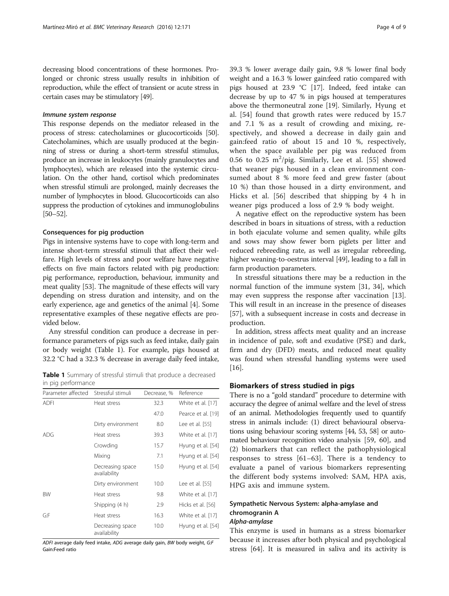decreasing blood concentrations of these hormones. Prolonged or chronic stress usually results in inhibition of reproduction, while the effect of transient or acute stress in certain cases may be stimulatory [\[49\]](#page-6-0).

#### Immune system response

This response depends on the mediator released in the process of stress: catecholamines or glucocorticoids [\[50](#page-6-0)]. Catecholamines, which are usually produced at the beginning of stress or during a short-term stressful stimulus, produce an increase in leukocytes (mainly granulocytes and lymphocytes), which are released into the systemic circulation. On the other hand, cortisol which predominates when stressful stimuli are prolonged, mainly decreases the number of lymphocytes in blood. Glucocorticoids can also suppress the production of cytokines and immunoglobulins [[50](#page-6-0)–[52](#page-6-0)].

#### Consequences for pig production

Pigs in intensive systems have to cope with long-term and intense short-term stressful stimuli that affect their welfare. High levels of stress and poor welfare have negative effects on five main factors related with pig production: pig performance, reproduction, behaviour, immunity and meat quality [\[53\]](#page-6-0). The magnitude of these effects will vary depending on stress duration and intensity, and on the early experience, age and genetics of the animal [\[4](#page-5-0)]. Some representative examples of these negative effects are provided below.

Any stressful condition can produce a decrease in performance parameters of pigs such as feed intake, daily gain or body weight (Table 1). For example, pigs housed at 32.2 °C had a 32.3 % decrease in average daily feed intake,

Table 1 Summary of stressful stimuli that produce a decreased in pig performance

| Parameter affected | Stressful stimuli                | Decrease, % | Reference          |
|--------------------|----------------------------------|-------------|--------------------|
| <b>ADFI</b>        | Heat stress                      | 32.3        | White et al. [17]  |
|                    |                                  | 47.0        | Pearce et al. [19] |
|                    | Dirty environment                | 8.0         | Lee et al. $[55]$  |
| <b>ADG</b>         | Heat stress                      | 39.3        | White et al. [17]  |
|                    | Crowding                         | 15.7        | Hyung et al. [54]  |
|                    | Mixing                           | 7.1         | Hyung et al. [54]  |
|                    | Decreasing space<br>availability | 15.0        | Hyung et al. [54]  |
|                    | Dirty environment                | 10.0        | Lee et al. [55]    |
| <b>BW</b>          | Heat stress                      | 9.8         | White et al. [17]  |
|                    | Shipping (4 h)                   | 2.9         | Hicks et al. [56]  |
| G:F                | Heat stress                      | 16.3        | White et al. [17]  |
|                    | Decreasing space<br>availability | 10.0        | Hyung et al. [54]  |

ADFI average daily feed intake, ADG average daily gain, BW body weight, G:F Gain:Feed ratio

39.3 % lower average daily gain, 9.8 % lower final body weight and a 16.3 % lower gain:feed ratio compared with pigs housed at 23.9 °C [\[17](#page-6-0)]. Indeed, feed intake can decrease by up to 47 % in pigs housed at temperatures above the thermoneutral zone [\[19\]](#page-6-0). Similarly, Hyung et al. [[54\]](#page-6-0) found that growth rates were reduced by 15.7 and 7.1 % as a result of crowding and mixing, respectively, and showed a decrease in daily gain and gain:feed ratio of about 15 and 10 %, respectively, when the space available per pig was reduced from 0.56 to 0.25  $m^2$ /pig. Similarly, Lee et al. [[55\]](#page-6-0) showed that weaner pigs housed in a clean environment consumed about 8 % more feed and grew faster (about 10 %) than those housed in a dirty environment, and Hicks et al. [[56\]](#page-7-0) described that shipping by 4 h in weaner pigs produced a loss of 2.9 % body weight.

A negative effect on the reproductive system has been described in boars in situations of stress, with a reduction in both ejaculate volume and semen quality, while gilts and sows may show fewer born piglets per litter and reduced rebreeding rate, as well as irregular rebreeding, higher weaning-to-oestrus interval [[49](#page-6-0)], leading to a fall in farm production parameters.

In stressful situations there may be a reduction in the normal function of the immune system [[31, 34\]](#page-6-0), which may even suppress the response after vaccination [\[13](#page-6-0)]. This will result in an increase in the presence of diseases [[57\]](#page-7-0), with a subsequent increase in costs and decrease in production.

In addition, stress affects meat quality and an increase in incidence of pale, soft and exudative (PSE) and dark, firm and dry (DFD) meats, and reduced meat quality was found when stressful handling systems were used [[16\]](#page-6-0).

### Biomarkers of stress studied in pigs

There is no a "gold standard" procedure to determine with accuracy the degree of animal welfare and the level of stress of an animal. Methodologies frequently used to quantify stress in animals include: (1) direct behavioural observations using behaviour scoring systems [\[44](#page-6-0), [53](#page-6-0), [58\]](#page-7-0) or automated behaviour recognition video analysis [\[59](#page-7-0), [60](#page-7-0)], and (2) biomarkers that can reflect the pathophysiological responses to stress [[61](#page-7-0)–[63](#page-7-0)]. There is a tendency to evaluate a panel of various biomarkers representing the different body systems involved: SAM, HPA axis, HPG axis and immune system.

# Sympathetic Nervous System: alpha-amylase and chromogranin A

#### Alpha-amylase

This enzyme is used in humans as a stress biomarker because it increases after both physical and psychological stress [[64](#page-7-0)]. It is measured in saliva and its activity is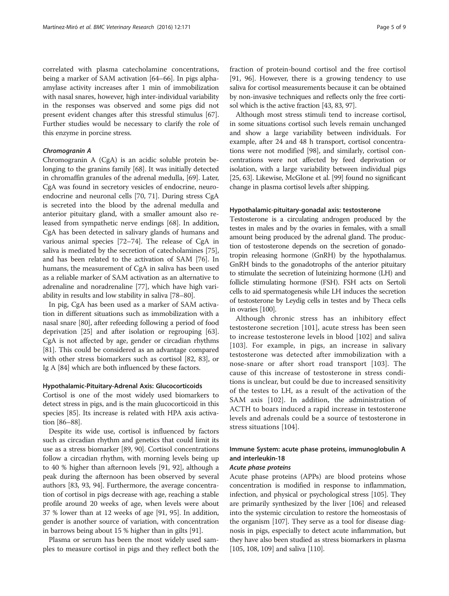correlated with plasma catecholamine concentrations, being a marker of SAM activation [\[64](#page-7-0)–[66](#page-7-0)]. In pigs alphaamylase activity increases after 1 min of immobilization with nasal snares, however, high inter-individual variability in the responses was observed and some pigs did not present evident changes after this stressful stimulus [[67](#page-7-0)]. Further studies would be necessary to clarify the role of this enzyme in porcine stress.

## Chromogranin A

Chromogranin A (CgA) is an acidic soluble protein belonging to the granins family [\[68\]](#page-7-0). It was initially detected in chromaffin granules of the adrenal medulla, [\[69\]](#page-7-0). Later, CgA was found in secretory vesicles of endocrine, neuroendocrine and neuronal cells [\[70, 71](#page-7-0)]. During stress CgA is secreted into the blood by the adrenal medulla and anterior pituitary gland, with a smaller amount also released from sympathetic nerve endings [\[68\]](#page-7-0). In addition, CgA has been detected in salivary glands of humans and various animal species [[72](#page-7-0)–[74\]](#page-7-0). The release of CgA in saliva is mediated by the secretion of catecholamines [[75](#page-7-0)], and has been related to the activation of SAM [[76](#page-7-0)]. In humans, the measurement of CgA in saliva has been used as a reliable marker of SAM activation as an alternative to adrenaline and noradrenaline [[77](#page-7-0)], which have high variability in results and low stability in saliva [\[78](#page-7-0)–[80](#page-7-0)].

In pig, CgA has been used as a marker of SAM activation in different situations such as immobilization with a nasal snare [\[80\]](#page-7-0), after refeeding following a period of food deprivation [\[25\]](#page-6-0) and after isolation or regrouping [[63](#page-7-0)]. CgA is not affected by age, gender or circadian rhythms [[81](#page-7-0)]. This could be considered as an advantage compared with other stress biomarkers such as cortisol [[82](#page-7-0), [83\]](#page-7-0), or Ig A [[84](#page-7-0)] which are both influenced by these factors.

## Hypothalamic-Pituitary-Adrenal Axis: Glucocorticoids

Cortisol is one of the most widely used biomarkers to detect stress in pigs, and is the main glucocorticoid in this species [[85](#page-7-0)]. Its increase is related with HPA axis activation [\[86](#page-7-0)–[88](#page-7-0)].

Despite its wide use, cortisol is influenced by factors such as circadian rhythm and genetics that could limit its use as a stress biomarker [[89](#page-7-0), [90](#page-7-0)]. Cortisol concentrations follow a circadian rhythm, with morning levels being up to 40 % higher than afternoon levels [[91](#page-7-0), [92\]](#page-7-0), although a peak during the afternoon has been observed by several authors [\[83, 93](#page-7-0), [94](#page-7-0)]. Furthermore, the average concentration of cortisol in pigs decrease with age, reaching a stable profile around 20 weeks of age, when levels were about 37 % lower than at 12 weeks of age [\[91, 95\]](#page-7-0). In addition, gender is another source of variation, with concentration in barrows being about 15 % higher than in gilts [\[91](#page-7-0)].

Plasma or serum has been the most widely used samples to measure cortisol in pigs and they reflect both the

[[91, 96](#page-7-0)]. However, there is a growing tendency to use saliva for cortisol measurements because it can be obtained by non-invasive techniques and reflects only the free cortisol which is the active fraction [\[43,](#page-6-0) [83, 97\]](#page-7-0).

Although most stress stimuli tend to increase cortisol, in some situations cortisol such levels remain unchanged and show a large variability between individuals. For example, after 24 and 48 h transport, cortisol concentrations were not modified [\[98\]](#page-7-0), and similarly, cortisol concentrations were not affected by feed deprivation or isolation, with a large variability between individual pigs [[25](#page-6-0), [63\]](#page-7-0). Likewise, McGlone et al. [\[99\]](#page-7-0) found no significant change in plasma cortisol levels after shipping.

#### Hypothalamic-pituitary-gonadal axis: testosterone

Testosterone is a circulating androgen produced by the testes in males and by the ovaries in females, with a small amount being produced by the adrenal gland. The production of testosterone depends on the secretion of gonadotropin releasing hormone (GnRH) by the hypothalamus. GnRH binds to the gonadotrophs of the anterior pituitary to stimulate the secretion of luteinizing hormone (LH) and follicle stimulating hormone (FSH). FSH acts on Sertoli cells to aid spermatogenesis while LH induces the secretion of testosterone by Leydig cells in testes and by Theca cells in ovaries [[100\]](#page-7-0).

Although chronic stress has an inhibitory effect testosterone secretion [\[101\]](#page-7-0), acute stress has been seen to increase testosterone levels in blood [[102\]](#page-8-0) and saliva [[103\]](#page-8-0). For example, in pigs, an increase in salivary testosterone was detected after immobilization with a nose-snare or after short road transport [[103\]](#page-8-0). The cause of this increase of testosterone in stress conditions is unclear, but could be due to increased sensitivity of the testes to LH, as a result of the activation of the SAM axis [\[102](#page-8-0)]. In addition, the administration of ACTH to boars induced a rapid increase in testosterone levels and adrenals could be a source of testosterone in stress situations [[104\]](#page-8-0).

## Immune System: acute phase proteins, immunoglobulin A and interleukin-18

#### Acute phase proteins

Acute phase proteins (APPs) are blood proteins whose concentration is modified in response to inflammation, infection, and physical or psychological stress [\[105\]](#page-8-0). They are primarily synthesized by the liver [[106](#page-8-0)] and released into the systemic circulation to restore the homeostasis of the organism [\[107\]](#page-8-0). They serve as a tool for disease diagnosis in pigs, especially to detect acute inflammation, but they have also been studied as stress biomarkers in plasma [[105](#page-8-0), [108](#page-8-0), [109\]](#page-8-0) and saliva [\[110\]](#page-8-0).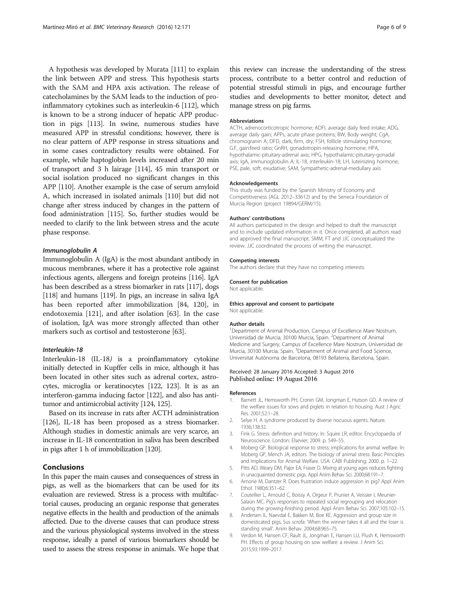<span id="page-5-0"></span>A hypothesis was developed by Murata [[111](#page-8-0)] to explain the link between APP and stress. This hypothesis starts with the SAM and HPA axis activation. The release of catecholamines by the SAM leads to the induction of proinflammatory cytokines such as interleukin-6 [[112](#page-8-0)], which is known to be a strong inducer of hepatic APP production in pigs [[113](#page-8-0)]. In swine, numerous studies have measured APP in stressful conditions; however, there is no clear pattern of APP response in stress situations and in some cases contradictory results were obtained. For example, while haptoglobin levels increased after 20 min of transport and 3 h lairage [\[114](#page-8-0)], 45 min transport or social isolation produced no significant changes in this APP [\[110\]](#page-8-0). Another example is the case of serum amyloid A, which increased in isolated animals [\[110\]](#page-8-0) but did not change after stress induced by changes in the pattern of food administration [[115](#page-8-0)]. So, further studies would be needed to clarify to the link between stress and the acute phase response.

#### Immunoglobulin A

Immunoglobulin A (IgA) is the most abundant antibody in mucous membranes, where it has a protective role against infectious agents, allergens and foreign proteins [\[116\]](#page-8-0). IgA has been described as a stress biomarker in rats [\[117](#page-8-0)], dogs [[118\]](#page-8-0) and humans [\[119](#page-8-0)]. In pigs, an increase in saliva IgA has been reported after immobilization [[84](#page-7-0), [120](#page-8-0)], in endotoxemia [[121\]](#page-8-0), and after isolation [[63](#page-7-0)]. In the case of isolation, IgA was more strongly affected than other markers such as cortisol and testosterone [[63](#page-7-0)].

#### Interleukin-18

Interleukin-18 (IL-18) is a proinflammatory cytokine initially detected in Kupffer cells in mice, although it has been located in other sites such as adrenal cortex, astrocytes, microglia or keratinocytes [\[122](#page-8-0), [123\]](#page-8-0). It is as an interferon-gamma inducing factor [[122\]](#page-8-0), and also has antitumor and antimicrobial activity [[124, 125\]](#page-8-0).

Based on its increase in rats after ACTH administration [[126](#page-8-0)], IL-18 has been proposed as a stress biomarker. Although studies in domestic animals are very scarce, an increase in IL-18 concentration in saliva has been described in pigs after 1 h of immobilization [\[120\]](#page-8-0).

#### Conclusions

In this paper the main causes and consequences of stress in pigs, as well as the biomarkers that can be used for its evaluation are reviewed. Stress is a process with multifactorial causes, producing an organic response that generates negative effects in the health and production of the animals affected. Due to the diverse causes that can produce stress and the various physiological systems involved in the stress response, ideally a panel of various biomarkers should be used to assess the stress response in animals. We hope that this review can increase the understanding of the stress process, contribute to a better control and reduction of potential stressful stimuli in pigs, and encourage further studies and developments to better monitor, detect and manage stress on pig farms.

#### Abbreviations

ACTH, adrenocorticotropic hormone; ADFI, average daily feed intake; ADG, average daily gain; APPs, acute phase proteins; BW, Body weight; CgA, chromogranin A; DFD, dark, firm, dry; FSH, follicle stimulating hormone; G:F, gain:feed ratio; GnRH, gonadotropin-releasing hormone; HPA, hypothalamic-pituitary-adrenal axis; HPG, hypothalamic-pituitary-gonadal axis; IgA, immunoglobulin A; IL-18, interleukin-18; LH, luteinizing hormone; PSE, pale, soft, exudative; SAM, Sympathetic-adrenal-medullary axis

#### Acknowledgements

This study was funded by the Spanish Ministry of Economy and Competitiveness (AGL 2012–33612) and by the Seneca Foundation of Murcia Region (project 19894/GERM/15).

#### Authors' contributions

All authors participated in the design and helped to draft the manuscript and to include updated information in it. Once completed, all authors read and approved the final manuscript. SMM, FT and JJC conceptualized the review. JJC coordinated the process of writing the manuscript.

#### Competing interests

The authors declare that they have no competing interests.

#### Consent for publication

Not applicable.

#### Ethics approval and consent to participate

Not applicable.

#### Author details

<sup>1</sup>Department of Animal Production, Campus of Excellence Mare Nostrum, Universidad de Murcia, 30100 Murcia, Spain. <sup>2</sup>Department of Animal Medicine and Surgery, Campus of Excellence Mare Nostrum, Universidad de Murcia, 30100 Murcia, Spain. <sup>3</sup> Department of Animal and Food Science Universitat Autònoma de Barcelona, 08193 Bellaterra, Barcelona, Spain.

#### Received: 28 January 2016 Accepted: 3 August 2016 Published online: 19 August 2016

#### References

- 1. Barnett JL, Hemsworth PH, Cronin GM, Jongman E, Hutson GD. A review of the welfare issues for sows and piglets in relation to housing. Aust J Agric Res. 2001;52:1–28.
- 2. Selye H. A syndrome produced by diverse nocuous agents. Nature. 1936;138:32.
- 3. Fink G. Stress: definition and history. In: Squire LR, editor. Encyclopaedia of Neuroscience. London: Elsevier; 2009. p. 549–55.
- 4. Moberg GP. Biological response to stress: implications for animal welfare. In: Moberg GP, Mench JA, editors. The biology of animal stress: Basic Principles and Implications for Animal Welfare. USA: CABI Publishing; 2000. p. 1–22.
- 5. Pitts AD, Weary DM, Pajor EA, Fraser D. Mixing at young ages reduces fighting in unacquainted domestic pigs. Appl Anim Behav Sci. 2000;68:191–7.
- 6. Arnone M, Dantzer R. Does frustration induce aggression in pig? Appl Anim Ethol. 1980;6:351–62.
- 7. Coutellier L, Arnould C, Boissy A, Orgeur P, Prunier A, Veissier I, Meunier-Salaün MC. Pig's responses to repeated social regrouping and relocation during the growing-finishing period. Appl Anim Behav Sci. 2007;105:102–15.
- 8. Andersen IL, Naevdal E, Bakken M, Boe KE. Aggression and group size in domesticated pigs, Sus scrofa: 'When the winner takes it all and the loser is standing small'. Anim Behav. 2004;68:965–75.
- 9. Verdon M, Hansen CF, Rault JL, Jongman E, Hansen LU, Plush K, Hemsworth PH. Effects of group housing on sow welfare: a review. J Anim Sci. 2015;93:1999–2017.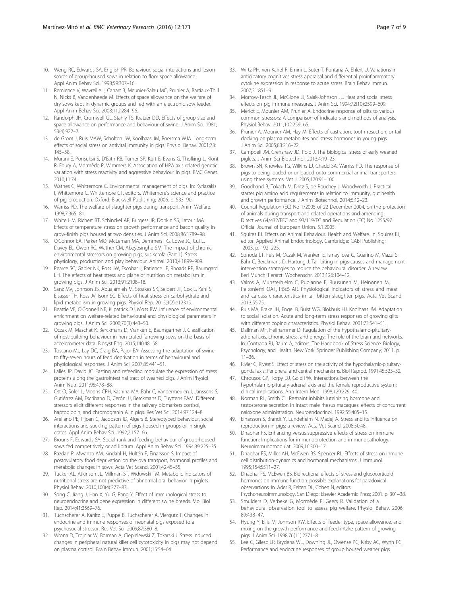- <span id="page-6-0"></span>10. Weng RC, Edwards SA, English PR. Behaviour, social interactions and lesion scores of group-housed sows in relation to floor space allowance. Appl Anim Behav Sci. 1998;59:307–16.
- 11. Remience V, Wavreille J, Canart B, Meunier-Salau MC, Prunier A, Bartiaux-Thill N, Nicks B, Vandenheede M. Effects of space allowance on the welfare of dry sows kept in dynamic groups and fed with an electronic sow feeder. Appl Anim Behav Sci. 2008;112:284–96.
- 12. Randolph JH, Cromwell GL, Stahly TS, Kratzer DD. Effects of group size and space allowance on performance and behaviour of swine. J Anim Sci. 1981; 53(4):922–7.
- 13. de Groot J, Ruis MAW, Scholten JW, Koolhaas JM, Boersma WJA. Long-term effects of social stress on antiviral immunity in pigs. Physiol Behav. 2001;73: 145–58.
- 14. Muráni E, Ponsuksii S, D'Eath RB, Turner SP, Kurt E, Evans G, Thölking L, Klont R, Foury A, Mormède P, Wimmers K. Association of HPA axis related genetic variation with stress reactivity and aggressive behaviour in pigs. BMC Genet. 2010;11:74.
- 15. Wathes C, Whittemore C. Environmental management of pigs. In: Kyriazakis I, Whittemore C, Whittemore CT, editors. Whitemore's science and practice of pig production. Oxford: Blackwell Publishing; 2006. p. 533–90.
- 16. Warriss PD. The welfare of slaughter pigs during transport. Anim Welfare. 1998;7:365–81.
- 17. White HM, Richert BT, Schinckel AP, Burgess JR, Donkin SS, Latour MA. Effects of temperature stress on growth performance and bacon quality in grow-finish pigs housed at two densities. J Anim Sci. 2008;86:1789–98.
- 18. O'Connor EA, Parker MO, McLeman MA, Demmers TG, Lowe JC, Cui L, Davey EL, Owen RC, Wather CM, Abeyesinghe SM. The impact of chronic environmental stressors on growing pigs, sus scrofa (Part 1): Stress physiology, production and play behaviour. Animal. 2010;4:1899–909.
- 19. Pearce SC, Gabler NK, Ross JW, Escobar J, Patience JF, Rhoads RP, Baumgard LH. The effects of heat stress and plane of nutrition on metabolism in growing pigs. J Anim Sci. 2013;91:2108–18.
- 20. Sanz MV, Johnson JS, Abuajamieh M, Stoakes SK, Seibert JT, Cox L, Kahl S, Elsasser TH, Ross JV, Isom SC. Effects of heat stress on carbohydrate and lipid metabolism in growing pigs. Physiol Rep. 2015;3(2):e12315.
- 21. Beattie VE, O'Connell NE, Kilpatrick DJ, Moss BW. Influence of environmental enrichment on welfare-related behavioural and physiological parameters in growing pigs. J Anim Sci. 2000;70(3):443–50.
- 22. Oczak M, Maschat K, Berckmans D, Vranken E, Baumgartner J. Classification of nest-building behaviour in non-crated farrowing sows on the basis of accelerometer data. Biosyst Eng. 2015;140:48–58.
- 23. Toscano MJ, Lay DC, Craig BA, Pajor EA. Assessing the adaptation of swine to fifty-seven hours of feed deprivation in terms of behavioural and physiological responses. J Anim Sci. 2007;85:441–51.
- 24. Lallès JP, David JC. Fasting and refeeding modulate the expression of stress proteins along the gastrointestinal tract of weaned pigs. J Anim Physiol Anim Nutr. 2011;95:478–88.
- 25. Ott O, Soler L, Moons CPH, Kashiha MA, Bahr C, Vandermeulen J, Janssens S, Gutiérrez AM, Escribano D, Cerón JJ, Berckmans D, Tuyttens FAM. Different stressors elicit different responses in the salivary biomarkers cortisol, haptoglobin, and chromogranin A in pigs. Res Vet Sci. 2014;97:124–8.
- 26. Arellano PE, Pijoan C, Jacobson ID, Algers B. Stereotyped behaviour, social interactions and suckling pattern of pigs housed in groups or in single crates. Appl Anim Behav Sci. 1992;2:157–66.
- 27. Brouns F, Edwards SA. Social rank and feeding behaviour of group-housed sows fed competitively or ad libitum. Appl Anim Behav Sci. 1994;39:225–35.
- 28. Razdan P, Mwanza AM, Kindahl H, Hultén F, Einarsson S. Impact of postovulatory food deprivation on the ova transport, hormonal profiles and metabolic changes in sows. Acta Vet Scand. 2001;42:45–55.
- 29. Tucker AL, Atkinson JL, Millman ST, Widowski TM. Metabolic indicators of nutritional stress are not predictive of abnormal oral behavior in piglets. Physiol Behav. 2010;100(4):277–83.
- 30. Song C, Jiang J, Han X, Yu G, Pang Y. Effect of immunological stress to neuroendocrine and gene expression in different swine breeds. Mol Biol Rep. 2014;41:3569–76.
- 31. Tuchscherer A, Kanitz E, Puppe B, Tuchscherer A, Viergutz T. Changes in endocrine and immune responses of neonatal pigs exposed to a psychosocial stressor. Res Vet Sci. 2009;87:380–8.
- 32. Wrona D, Trojniar W, Borman A, Ciepielewski Z, Tokarski J. Stress induced changes in peripheral natural killer cell cytotoxicity in pigs may not depend on plasma cortisol. Brain Behav Immun. 2001;15:54–64.
- 33. Wirtz PH, von Känel R, Emini L, Suter T, Fontana A, Ehlert U. Variations in anticipatory cognitives stress appraisal and differential proinflammatory cytokine expression in response to acute stress. Brain Behav Immun. 2007;21:851–9.
- 34. Morrow-Tesch JL, McGlone JJ, Salak-Johnson JL. Heat and social stress effects on pig immune measures. J Anim Sci. 1994;72(10):2599–609.
- Merlot E, Mounier AM, Prunier A. Endocrine response of gilts to various common stressors: A comparison of indicators and methods of analysis. Physiol Behav. 2011;102:259–65.
- 36. Prunier A, Mounier AM, Hay M. Effects of castration, tooth resection, or tail docking on plasma metabolites and stress hormones in young pigs. J Anim Sci. 2005;83:216–22.
- 37. Campbell JM, Crenshaw JD, Polo J. The biological stress of early weaned piglets. J Anim Sci Biotechnol. 2013;4:19–23.
- 38. Brown SN, Knowles TG, Wilkins LJ, Chadd SA, Warriss PD. The response of pigs to being loaded or unloaded onto commercial animal transporters using three systems. Vet J. 2005;170:91–100.
- 39. Goodband B, Tokach M, Dritz S, de Rouchey J, Woodworth J. Practical starter pig amino acid requirements in relation to immunity, gut health and growth performance. J Anim Biotechnol. 2014;5:12–23.
- 40. Council Regulation (EC) No 1/2005 of 22 December 2004. on the protection of animals during transport and related operations and amending Directives 64/432/EEC and 93/119/EC and Regulation (EC) No 1255/97. Official Journal of European Union. 5.1.2005.
- 41. Squires EJ. Effects on Animal Behaviour. Health and Welfare. In: Squires EJ, editor. Applied Animal Endocrinology. Cambridge: CABI Publishing; 2003. p. 192–225.
- 42. Sonoda LT, Fels M, Oczak M, Vranken E, Ismayilova G, Guarino M, Viazzi S, Bahr C, Berckmans D, Hartung J. Tail biting in pigs-causes and management intervention strategies to reduce the behavioural disorder. A review. Berl Munch Tierarztl Wochenschr. 2013;126:104–12.
- 43. Valros A, Munsterhjelm C, Puolanne E, Ruusunen M, Heinonen M, Peltoniemi OAT, Pösö AR. Physiological indicators of stress and meat and carcass characteristics in tail bitten slaughter pigs. Acta Vet Scand. 2013;55:75.
- 44. Ruis MA, Brake JH, Engel B, Buist WG, Blokhuis HJ, Koolhaas JM. Adaptation to social isolation. Acute and long-term stress responses of growing gilts with different coping characteristics. Physiol Behav. 2001;73:541–51.
- 45. Dallman MF, Hellhammer D. Regulation of the hypothalamo-pituitaryadrenal axis, chronic stress, and energy: The role of the brain and networks. In: Contrada RJ, Baum A, editors. The Handbook of Stress Science: Biology, Psychology, and Health. New York: Springer Publishing Company; 2011. p. 11–36.
- 46. Rivier C, Rivest S. Effect of stress on the activity of the hypothalamic-pituitarygondal axis: Peripheral and central mechanisms. Biol Reprod. 1991;45:523–32.
- 47. Chrousos GP, Torpy DJ, Gold PW. Interactions between the hypothalamic-pituitary-adrenal axis and the female reproductive system: clinical implications. Ann Intern Med. 1998;129:229–40.
- 48. Norman RL, Smith CJ. Restraint inhibits luteinizing hormone and testosterone secretion in intact male rhesus macaques: effects of concurrent naloxone administration. Neuroendocrinol. 1992;55:405–15.
- Einarsson S, Brandt Y, Lundeheim N, Madej A. Stress and its influence on reproduction in pigs: a review. Acta Vet Scand. 2008;50:48.
- 50. Dhabhar FS. Enhancing versus suppressive effects of stress on immune function: Implications for immunoprotection and immunopathology. Neuroimmunomodulat. 2009;16:300–17.
- 51. Dhabhar FS, Miller AH, McEwen BS, Spencer RL. Effects of stress on inmune cell distribution-dynamics and hormonal mechanisms. J Immunol. 1995;154:5511–27.
- 52. Dhabhar FS, McEwen BS. Bidirectional effects of stress and glucocorticoid hormones on immune function: possible explanations for paradoxical observartions. In: Ader R, Felten DL, Cohen N, editors. Psychoneuroimmunology. San Diego: Elsevier Academic Press; 2001. p. 301–38.
- 53. Smulders D, Verbeke G, Mormède P, Geers R. Validation of a behavioural observation tool to assess pig welfare. Physiol Behav. 2006; 89:438–47.
- 54. Hyung Y, Ellis M, Johnson RW. Effects of feeder type, space allowance, and mixing on the growth performance and feed intake pattern of growing pigs. J Anim Sci. 1998;76(11):2771–8.
- 55. Lee C, Gilesc LR, Brydena WL, Downing JL, Owense PC, Kirby AC, Wynn PC. Performance and endocrine responses of group housed weaner pigs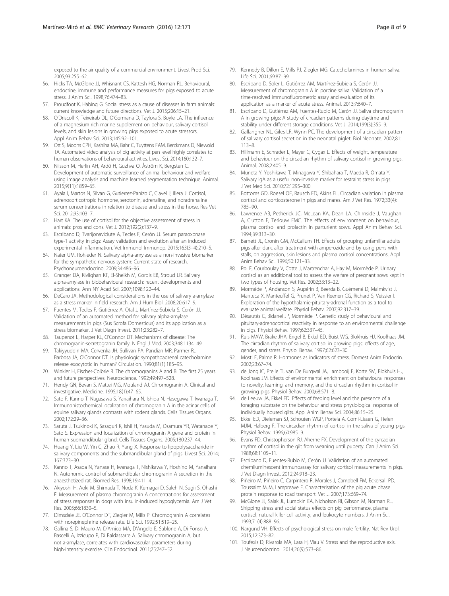<span id="page-7-0"></span>exposed to the air quality of a commercial environment. Livest Prod Sci. 2005;93:255–62.

- 56. Hicks TA, McGlone JJ, Whisnant CS, Kattesh HG, Norman RL. Behavioural, endocrine, immune and performance measures for pigs exposed to acute stress. J Anim Sci. 1998;76:474–83.
- 57. Proudfoot K, Habing G. Social stress as a cause of diseases in farm animals: current knowledge and future directions. Vet J. 2015;206:15–21.
- 58. O'Driscoll K, Teixeirab DL, O'Gormana D, Taylora S, Boyle LA. The influence of a magnesium rich marine supplement on behaviour, salivary cortisol levels, and skin lesions in growing pigs exposed to acute stressors. Appl Anim Behav Sci. 2013;145:92–101.
- 59. Ott S, Moons CPH, Kashiha MA, Bahr C, Tuyttens FAM, Berckmans D, Niewold TA. Automated video analysis of pig activity at pen level highly correlates to human observations of behavioural activities. Livest Sci. 2014;160:132–7.
- 60. Nilsson M, Herlin AH, Ardö H, Guzhva O, Åström K, Bergsten C. Development of automatic surveillance of animal behaviour and welfare using image analysis and machine learned segmentation technique. Animal. 2015;9(11):1859–65.
- 61. Ayala I, Martos N, Silvan G, Gutierrez-Panizo C, Clavel J, Illera J. Cortisol, adrenocorticotropic hormone, serotonin, adrenaline, and noradrenaline serum concentrations in relation to disease and stress in the horse. Res Vet Sci. 2012;93:103–7.
- 62. Hart KA. The use of cortisol for the objective assessment of stress in animals: pros and cons. Vet J. 2012;192(2):137–9.
- 63. Escribano D, Tvarijonaviciute A, Tecles F, Cerón JJ. Serum paraoxonase type-1 activity in pigs: Assay validation and evolution after an induced experimental inflammation. Vet Immunol Immunop. 2015;163(3–4):210–5.
- 64. Nater UM, Rohleder N. Salivary alpha-amylase as a non-invasive biomarker for the sympathetic nervous system: Current state of research. Psychoneuroendocrino. 2009;34:486–96.
- 65. Granger DA, Kivlighan KT, El-Sheikh M, Gordis EB, Stroud LR. Salivary alpha-amylase in biobehavioural research: recent developments and applications. Ann NY Acad Sci. 2007;1098:122–44.
- 66. DeCaro JA. Methodological considerations in the use of salivary a-amylase as a stress marker in field research. Am J Hum Biol. 2008;20:617–9.
- 67. Fuentes M, Tecles F, Gutiérrez A, Otal J, Martínez-Subiela S, Cerón JJ. Validation of an automated method for salivary alpha-amylase measurements in pigs (Sus Scrofa Domesticus) and its application as a stress biomarker. J Vet Diagn Invest. 2011;23:282–7.
- 68. Taupenot L, Harper KL, O'Connor DT. Mechanisms of disease: The chromogranin-secretogranin family. N Engl J Med. 2003;348:1134–49.
- 69. Takiyyuddin MA, Cervenka JH, Sullivan PA, Pandian MR, Parmer RJ, Barbosa JA, O'Connor DT. Is physiologic sympathoadrenal catecholamine release exocytotic in human? Circulation. 1990;81(1):185–95.
- 70. Winkler H, Fischer-Colbrie R. The chromogranins A and B: The first 25 years and future perspectives. Neuroscience. 1992;49:497–528.
- 71. Hendy GN, Bevan S, Mattei MG, Mouland AJ. Chromogranin A. Clinical and investigative. Medicine. 1995;18(1):47–65.
- 72. Sato F, Kanno T, Nagasawa S, Yanaihara N, Ishida N, Hasegawa T, Iwanaga T. Immunohistochemical localization of chromogranin A in the acinar cells of equine salivary glands contrasts with rodent glands. Cells Tissues Organs. 2002;172:29–36.
- 73. Saruta J, Tsukinoki K, Sasaguri K, Ishii H, Yasuda M, Osamura YR, Watanabe Y, Sato S. Expression and localization of chromogranin A gene and protein in human submandibular gland. Cells Tissues Organs. 2005;180:237–44.
- 74. Huang Y, Liu W, Yin C, Zhao R, Yang X. Response to lipopolysaccharide in salivary components and the submandibular gland of pigs. Livest Sci. 2014; 167:323–30.
- 75. Kanno T, Asada N, Yanase H, Iwanaga T, Nishikawa Y, Hoshino M, Yanaihara N. Autonomic control of submandibular chromogranin A secretion in the anaesthetized rat. Biomed Res. 1998;19:411–4.
- 76. Akiyoshi H, Aoki M, Shimada T, Noda K, Kumagai D, Saleh N, Sugii S, Ohashi F. Measurement of plasma chromogranin A concentrations for assessment of stress responses in dogs with insulin-induced hypoglycemia. Am J Vet Res. 2005;66:1830–5.
- 77. Dimsdale JE, O'Connor DT, Ziegler M, Mills P. Chromogranin A correlates with norepinephrine release rate. Life Sci. 1992;51:519–25.
- 78. Gallina S, Di Mauro M, D'Amico MA, D'Angelo E, Sablone A, Di Fonso A, Bascelli A, Izzicupo P, Di Baldassarre A. Salivary chromogranin A, but not a-amylase, correlates with cardiovascular parameters during high-intensity exercise. Clin Endocrinol. 2011;75:747–52.
- 79. Kennedy B, Dillon E, Mills PJ, Ziegler MG. Catecholamines in human saliva. Life Sci. 2001;69:87–99.
- 80. Escribano D, Soler L, Gutiérrez AM, Martínez-Subiela S, Cerón JJ. Measurement of chromogranin A in porcine saliva: Validation of a time-resolved immunofluorometric assay and evaluation of its application as a marker of acute stress. Animal. 2013;7:640–7.
- 81. Escribano D, Gutiérrez AM, Fuentes-Rubio M, Cerón JJ. Saliva chromogranin A in growing pigs: A study of circadian patterns during daytime and stability under different storage conditions. Vet J. 2014;199(3):355–9.
- 82. Gallangher NL, Giles LR, Wynn PC. The development of a circadian pattern of salivary cortisol secretion in the neonatal piglet. Biol Neonate. 2002;81: 113–8.
- 83. Hillmann E, Schrader L, Mayer C, Gygax L. Effects of weight, temperature and behaviour on the circadian rhythm of salivary cortisol in growing pigs. Animal. 2008;2:405–9.
- 84. Muneta Y, Yoshikawa T, Minagawa Y, Shibahara T, Maeda R, Omata Y. Salivary IgA as a useful non-invasive marker for restraint stress in pigs. J Vet Med Sci. 2010;72:1295–300.
- 85. Bottoms GD, Roesel OF, Rausch FD, Akins EL. Circadian variation in plasma cortisol and corticosterone in pigs and mares. Am J Vet Res. 1972;33(4): 785–90.
- 86. Lawrence AB, Petherick JC, McLean KA, Dean LA, Chirnside J, Vaughan A, Clutton E, Terlouw EMC. The effects of environment on behaviour, plasma cortisol and prolactin in parturient sows. Appl Anim Behav Sci. 1994;39:313–30.
- 87. Barnett JL, Cronin GM, McCallum TH. Effects of grouping unfamiliar adults pigs after dark, after treatment with amperozide and by using pens with stalls, on aggression, skin lesions and plasma cortisol concentrations. Appl Anim Behav Sci. 1996;50:121–33.
- 88. Pol F, Courboulay V, Cotte J, Martrenchar A, Hay M, Mormède P, Urinary cortisol as an additional tool to assess the welfare of pregnant sows kept in two types of housing. Vet Res. 2002;33:13–22.
- 89. Mormède P, Andanson S, Aupérin B, Beerda B, Guémené D, Malmkvist J, Manteca X, Manteuffel G, Prunet P, Van Reenen CG, Richard S, Veissier I. Exploration of the hypothalamic-pituitary-adrenal function as a tool to evaluate animal welfare. Physiol Behav. 2007;92:317–39.
- 90. Désautés C, Bidanel JP, Mormède P. Genetic study of behavioural and pituitary-adrenocortical reactivity in response to an environmental challenge in pigs. Physiol Behav. 1997;62:337–45.
- 91. Ruis MAW, Brake JHA, Engel B, Ekkel ED, Buist WG, Blokhuis HJ, Koolhaas JM. The circadian rhythm of salivary cortisol in growing pigs: effects of age, gender, and stress. Physiol Behav. 1997;62:623–30.
- 92. Möstl E, Palme R. Hormones as indicators of stress. Domest Anim Endocrin. 2002;23:67–74.
- 93. de Jong IC, Prelle TI, van De Burgwal JA, Lambooij E, Korte SM, Blokhuis HJ, Koolhaas JM. Effects of environmental enrichment on behavioural responses to novelty, learning, and memory, and the circadian rhythm in cortisol in growing pigs. Physiol Behav. 2000;68:571–8.
- 94. de Leeuw JA, Ekkel ED. Effects of feeding level and the presence of a foraging substrate on the behaviour and stress physiological response of individually housed gilts. Appl Anim Behav Sci. 2004;86:15–25.
- 95. Ekkel ED, Dieleman SJ, Schouten WGP, Portela A, Corni-Lissen G, Tielen MJM, Halberg F. The circadian rhythm of cortisol in the saliva of young pigs. Physiol Behav. 1996;60:985–9.
- 96. Evans FD, Christopherson RJ, Aherne FX. Development of the cyrcadian rhythm of cortisol in the gilt from weaning until puberty. Can J Anim Sci. 1988;68:1105–11.
- 97. Escribano D, Fuentes-Rubio M, Cerón JJ. Validation of an automated chemiluminescent immunoassay for salivary cortisol measurements in pigs. J Vet Diagn Invest. 2012;24:918–23.
- 98. Piñeiro M, Piñeiro C, Carpintero R, Morales J, Campbell FM, Eckersall PD, Toussaint MJM, Lampreave F. Characterisation of the pig acute phase protein response to road transport. Vet J. 2007;173:669–74.
- 99. McGlone JJ, Salak JL, Lumpkin EA, Nicholson RI, Gibson M, Norman RL. Shipping stress and social status effects on pig performance, plasma cortisol, natural killer cell activity, and leukocyte numbers. J Anim Sci. 1993;71(4):888–96.
- 100. Nargund VH. Effects of psychological stress on male fertility. Nat Rev Urol. 2015;12:373–82.
- 101. Toufexis D, Rivarola MA, Lara H, Viau V. Stress and the reproductive axis. J Neuroendocrinol. 2014;26(9):573–86.